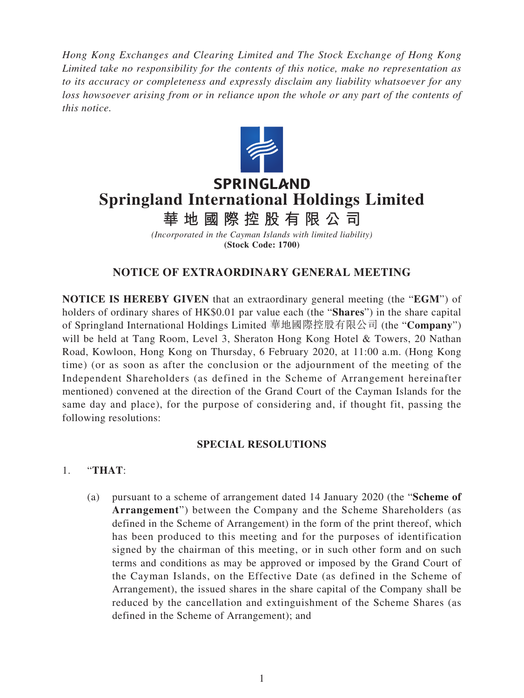*Hong Kong Exchanges and Clearing Limited and The Stock Exchange of Hong Kong Limited take no responsibility for the contents of this notice, make no representation as to its accuracy or completeness and expressly disclaim any liability whatsoever for any loss howsoever arising from or in reliance upon the whole or any part of the contents of this notice.*



# **SPRINGLAND Springland International Holdings Limited**

**華地國際控股有限公 司**

*(Incorporated in the Cayman Islands with limited liability)* **(Stock Code: 1700)**

## **NOTICE OF EXTRAORDINARY GENERAL MEETING**

**NOTICE IS HEREBY GIVEN** that an extraordinary general meeting (the "**EGM**") of holders of ordinary shares of HK\$0.01 par value each (the "**Shares**") in the share capital of Springland International Holdings Limited 華地國際控股有限公司 (the "**Company**") will be held at Tang Room, Level 3, Sheraton Hong Kong Hotel & Towers, 20 Nathan Road, Kowloon, Hong Kong on Thursday, 6 February 2020, at 11:00 a.m. (Hong Kong time) (or as soon as after the conclusion or the adjournment of the meeting of the Independent Shareholders (as defined in the Scheme of Arrangement hereinafter mentioned) convened at the direction of the Grand Court of the Cayman Islands for the same day and place), for the purpose of considering and, if thought fit, passing the following resolutions:

### **SPECIAL RESOLUTIONS**

- 1. "**THAT**:
	- (a) pursuant to a scheme of arrangement dated 14 January 2020 (the "**Scheme of Arrangement**") between the Company and the Scheme Shareholders (as defined in the Scheme of Arrangement) in the form of the print thereof, which has been produced to this meeting and for the purposes of identification signed by the chairman of this meeting, or in such other form and on such terms and conditions as may be approved or imposed by the Grand Court of the Cayman Islands, on the Effective Date (as defined in the Scheme of Arrangement), the issued shares in the share capital of the Company shall be reduced by the cancellation and extinguishment of the Scheme Shares (as defined in the Scheme of Arrangement); and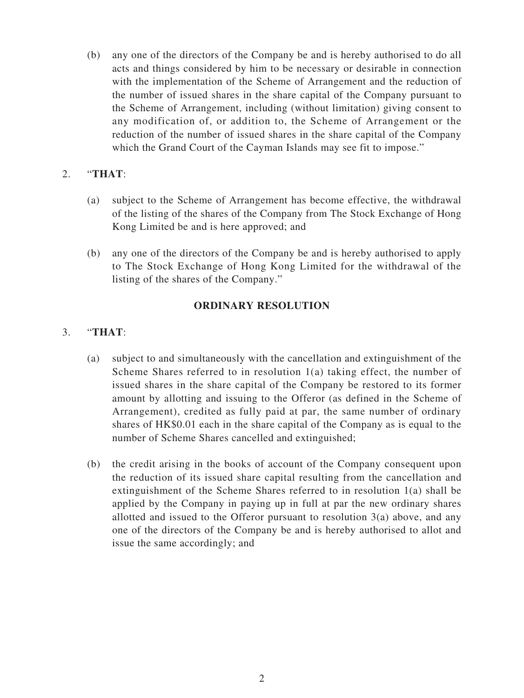(b) any one of the directors of the Company be and is hereby authorised to do all acts and things considered by him to be necessary or desirable in connection with the implementation of the Scheme of Arrangement and the reduction of the number of issued shares in the share capital of the Company pursuant to the Scheme of Arrangement, including (without limitation) giving consent to any modification of, or addition to, the Scheme of Arrangement or the reduction of the number of issued shares in the share capital of the Company which the Grand Court of the Cayman Islands may see fit to impose."

### 2. "**THAT**:

- (a) subject to the Scheme of Arrangement has become effective, the withdrawal of the listing of the shares of the Company from The Stock Exchange of Hong Kong Limited be and is here approved; and
- (b) any one of the directors of the Company be and is hereby authorised to apply to The Stock Exchange of Hong Kong Limited for the withdrawal of the listing of the shares of the Company."

#### **ORDINARY RESOLUTION**

### 3. "**THAT**:

- (a) subject to and simultaneously with the cancellation and extinguishment of the Scheme Shares referred to in resolution 1(a) taking effect, the number of issued shares in the share capital of the Company be restored to its former amount by allotting and issuing to the Offeror (as defined in the Scheme of Arrangement), credited as fully paid at par, the same number of ordinary shares of HK\$0.01 each in the share capital of the Company as is equal to the number of Scheme Shares cancelled and extinguished;
- (b) the credit arising in the books of account of the Company consequent upon the reduction of its issued share capital resulting from the cancellation and extinguishment of the Scheme Shares referred to in resolution 1(a) shall be applied by the Company in paying up in full at par the new ordinary shares allotted and issued to the Offeror pursuant to resolution 3(a) above, and any one of the directors of the Company be and is hereby authorised to allot and issue the same accordingly; and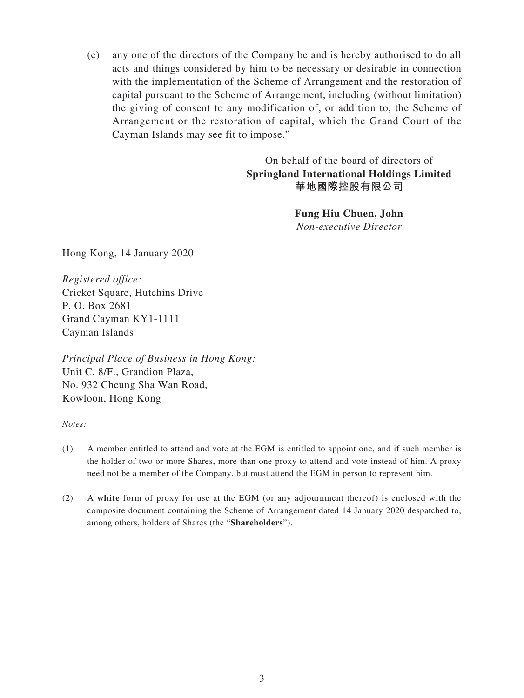(c) any one of the directors of the Company be and is hereby authorised to do all acts and things considered by him to be necessary or desirable in connection with the implementation of the Scheme of Arrangement and the restoration of capital pursuant to the Scheme of Arrangement, including (without limitation) the giving of consent to any modification of, or addition to, the Scheme of Arrangement or the restoration of capital, which the Grand Court of the Cayman Islands may see fit to impose."

> On behalf of the board of directors of **Springland International Holdings Limited 華地國際控股有限公司**

> > **Fung Hiu Chuen, John** *Non-executive Director*

Hong Kong, 14 January 2020

*Registered office:* Cricket Square, Hutchins Drive P. O. Box 2681 Grand Cayman KY1-1111 Cayman Islands

*Principal Place of Business in Hong Kong:* Unit C, 8/F., Grandion Plaza, No. 932 Cheung Sha Wan Road, Kowloon, Hong Kong

*Notes:*

- (1) A member entitled to attend and vote at the EGM is entitled to appoint one, and if such member is the holder of two or more Shares, more than one proxy to attend and vote instead of him. A proxy need not be a member of the Company, but must attend the EGM in person to represent him.
- (2) A **white** form of proxy for use at the EGM (or any adjournment thereof) is enclosed with the composite document containing the Scheme of Arrangement dated 14 January 2020 despatched to, among others, holders of Shares (the "**Shareholders**").